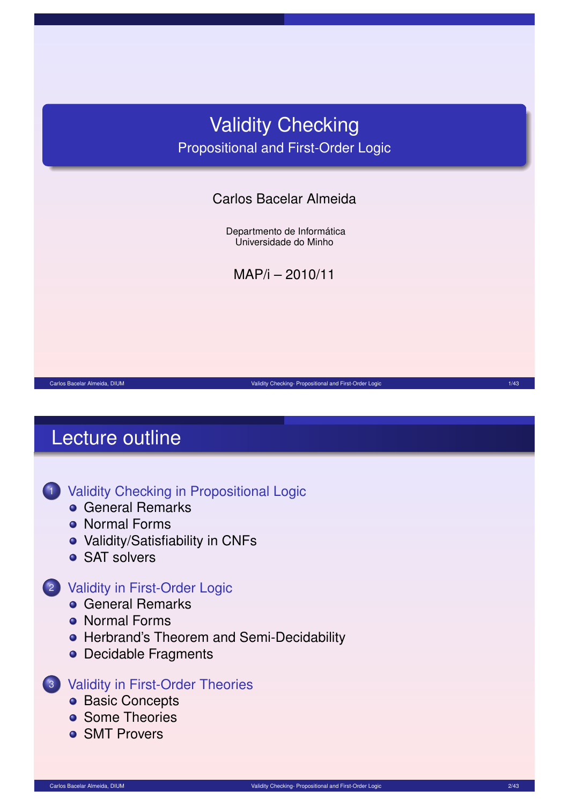# Validity Checking Propositional and First-Order Logic

### Carlos Bacelar Almeida

Departmento de Informática Universidade do Minho

MAP/i – 2010/11

Carlos Bacelar Almeida, DIUM Validity Checking- Propositional and First-Order Logic 1/43 Checking- Propositional and First-Order Logic 1/43

# Lecture outline

### <sup>1</sup> Validity Checking in Propositional Logic

- **General Remarks**
- **Normal Forms**
- Validity/Satisfiability in CNFs
- SAT solvers

### <sup>2</sup> [Validity in First-Orde](#page-1-0)r Logic

- **[Gene](#page-1-0)ral Remarks**
- [No](#page-3-0)rmal Forms
- **[Herbrand's T](#page-7-0)heorem and Semi-Decidability**
- [Decidable](#page-11-0) Fragments

#### <sup>3</sup> [Validity](#page-12-0) in First-Order Theories

- **[Basic Concepts](#page-14-0)**
- **•** [Some T](#page-16-0)heories
- **[SMT Prover](#page-16-0)s**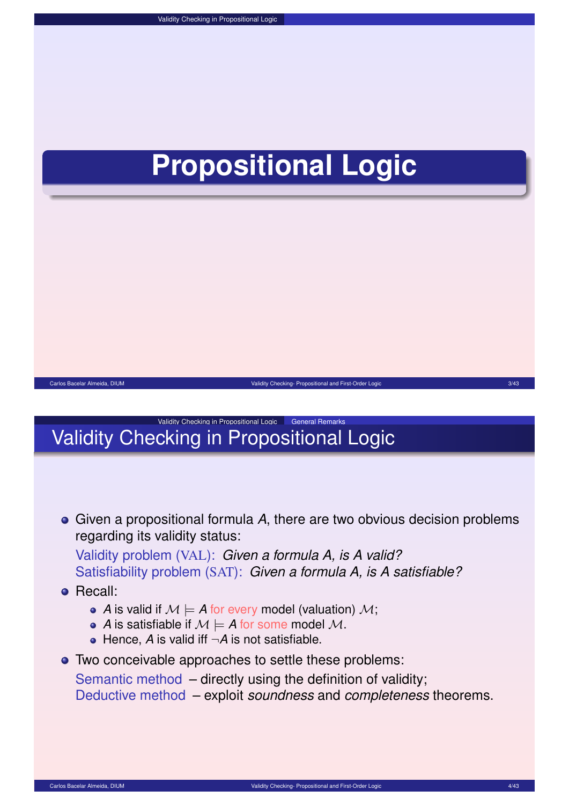# **Propositional Logic**



### Validity Checking in Propositional Logic General Remarks Validity Checking in Propositional Logic

Given a propositional formula *A*, there are two obvious decision problems regarding its validity status:

Validity problem (VAL): *Given a formula A, is A valid?* Satisfiability problem (SAT): *Given a formula A, is A satisfiable?*

**•** Recall:

- A is valid if  $M \models A$  for every model (valuation) M;
- *A* is satisfiable if  $M \models A$  for some model M.
- $\bullet$  Hence, *A* is valid iff  $\neg A$  is not satisfiable.

Two conceivable approaches to settle these problems:

Semantic method – directly using the definition of validity;

<span id="page-1-0"></span>Deductive method – exploit *soundness* and *completeness* theorems.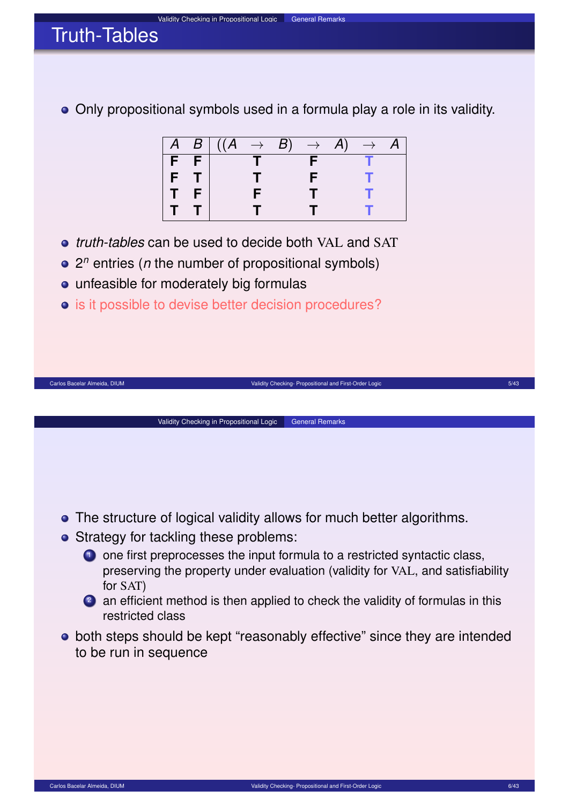# Truth-Tables

Only propositional symbols used in a formula play a role in its validity.

|       | $\overline{A \mid B}$ $((A \rightarrow B))$ |  | $\rightarrow$ A) | $\rightarrow$ A |  |
|-------|---------------------------------------------|--|------------------|-----------------|--|
| F F   |                                             |  |                  |                 |  |
| $F$ T |                                             |  |                  |                 |  |
|       |                                             |  | . .              |                 |  |
|       |                                             |  |                  |                 |  |

Carlos Bacelar Almeida, DIUM Validity Checking- Propositional and First-Order Logic 5/43

- *truth-tables* can be used to decide both VAL and SAT
- 2 *n* entries (*n* the number of propositional symbols)
- unfeasible for moderately big formulas
- $\bullet$  is it possible to devise better decision procedures?



Validity Checking in Propositional Logic | General Remarks

- Strategy for tackling these problems:
	- **1** one first preprocesses the input formula to a restricted syntactic class, preserving the property under evaluation (validity for VAL, and satisfiability for SAT)
	- <sup>2</sup> an efficient method is then applied to check the validity of formulas in this restricted class
- both steps should be kept "reasonably effective" since they are intended to be run in sequence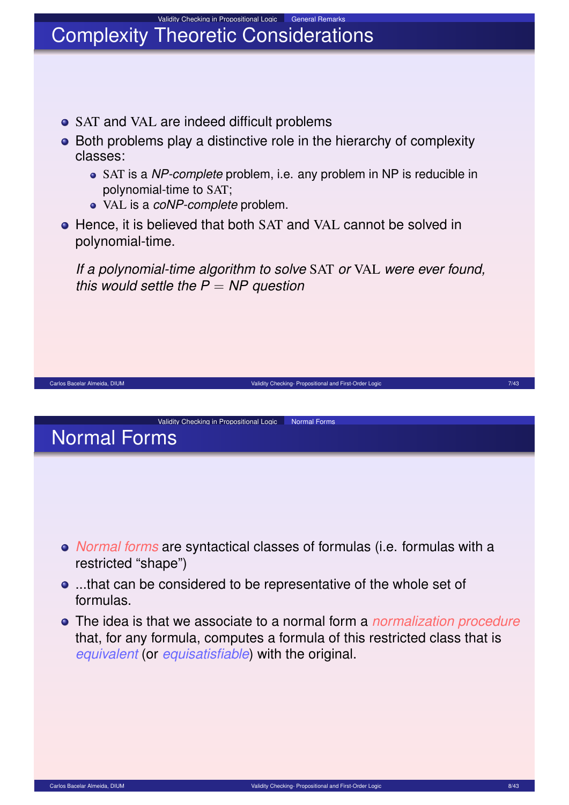### Validity Checking in Propositional Logic General Remarks Complexity Theoretic Considerations

- SAT and VAL are indeed difficult problems
- Both problems play a distinctive role in the hierarchy of complexity classes:
	- SAT is a *NP-complete* problem, i.e. any problem in NP is reducible in polynomial-time to SAT;
	- VAL is a *coNP-complete* problem.
- **•** Hence, it is believed that both SAT and VAL cannot be solved in polynomial-time.

*If a polynomial-time algorithm to solve* SAT *or* VAL *were ever found, this would settle the P* = *NP question*

<span id="page-3-0"></span>Carlos Bacelar Almeida, DIUM Validity Checking- Propositional and First-Order Logic 7/43

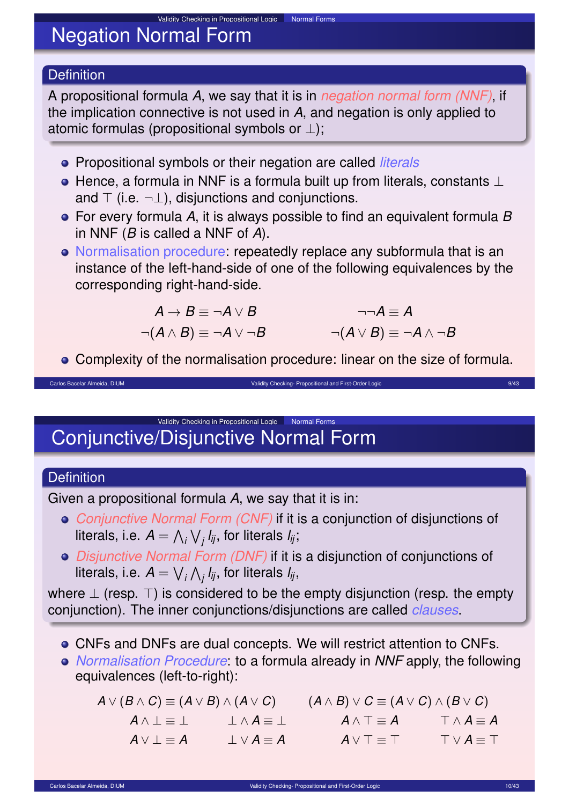# Negation Normal Form

### **Definition**

A propositional formula *A*, we say that it is in *negation normal form (NNF)*, if the implication connective is not used in *A*, and negation is only applied to atomic formulas (propositional symbols or  $\perp$ );

Propositional symbols or their negation are called *literals*

Validity Checking in Propositional Logic Normal Forms

- $\bullet$  Hence, a formula in NNF is a formula built up from literals, constants  $\perp$ and  $\top$  (i.e.  $\neg \bot$ ), disjunctions and conjunctions.
- For every formula *A*, it is always possible to find an equivalent formula *B* in NNF (*B* is called a NNF of *A*).
- Normalisation procedure: repeatedly replace any subformula that is an instance of the left-hand-side of one of the following equivalences by the corresponding right-hand-side.

$$
A \rightarrow B \equiv \neg A \lor B
$$
  
\n
$$
\neg(A \land B) \equiv \neg A \lor \neg B
$$
  
\n
$$
\neg(A \lor B) \equiv \neg A \land \neg B
$$
  
\n
$$
\neg(A \lor B) \equiv \neg A \land \neg B
$$

Complexity of the normalisation procedure: linear on the size of formula.

Carlos Bacelar Almeida, DIUM Validity Checking- Propositional and First-Order Logic 9/43 Carlos Bacelar Almeida, DIUM 9/43

Validity Checking in Propositional Logic Normal Forms Conjunctive/Disjunctive Normal Form

### **Definition**

Given a propositional formula *A*, we say that it is in:

- *Conjunctive Normal Form (CNF)* if it is a conjunction of disjunctions of literals, i.e.  $A = \bigwedge_i \bigvee_j l_{\!}$ , for literals  $l_{\!}$ ;
- *Disjunctive Normal Form (DNF)* if it is a disjunction of conjunctions of literals, i.e.  $A=\bigvee_{i}\bigwedge_{j}I_{ij},$  for literals  $I_{ij},$

where  $\perp$  (resp.  $\perp$ ) is considered to be the empty disjunction (resp. the empty conjunction). The inner conjunctions/disjunctions are called *clauses*.

- CNFs and DNFs are dual concepts. We will restrict attention to CNFs.
- *Normalisation Procedure*: to a formula already in *NNF* apply, the following equivalences (left-to-right):

 $A \lor (B \land C) \equiv (A \lor B) \land (A \lor C)$  ( $A \land B) \lor C \equiv (A \lor C) \land (B \lor C)$  $A \wedge \bot \equiv \bot$   $\bot \wedge A \equiv \bot$   $A \wedge \top \equiv A$   $\top \wedge A \equiv A$  $A \lor \bot \equiv A$   $\bot \lor A \equiv A$   $A \lor \top \equiv \top$   $\top \lor A \equiv \top$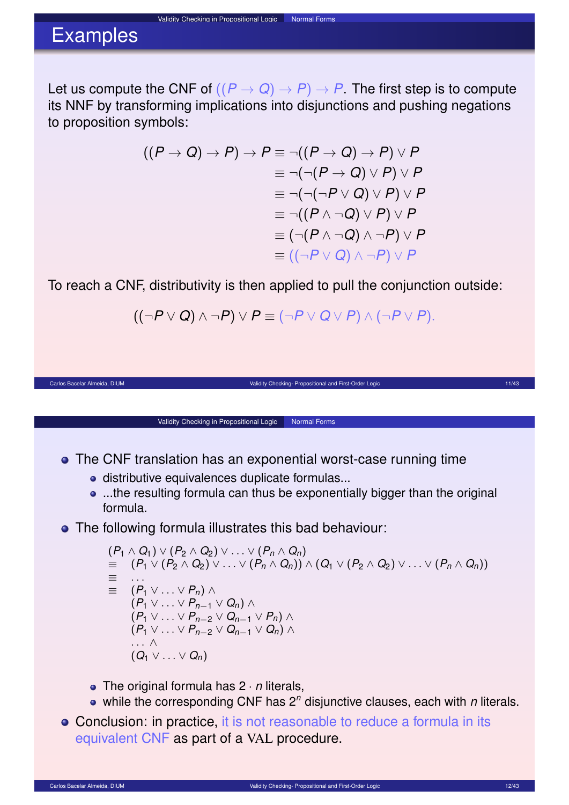### Validity Checking in Propositional Logic Normal Forms Examples

Let us compute the CNF of  $((P \rightarrow Q) \rightarrow P) \rightarrow P$ . The first step is to compute its NNF by transforming implications into disjunctions and pushing negations to proposition symbols:

$$
((P \rightarrow Q) \rightarrow P) \rightarrow P \equiv \neg((P \rightarrow Q) \rightarrow P) \vee P
$$

$$
\equiv \neg(\neg(P \rightarrow Q) \vee P) \vee P
$$

$$
\equiv \neg(\neg(\neg P \vee Q) \vee P) \vee P
$$

$$
\equiv \neg((P \wedge \neg Q) \vee P) \vee P
$$

$$
\equiv (\neg(P \wedge \neg Q) \wedge \neg P) \vee P
$$

$$
\equiv ((\neg P \vee Q) \wedge \neg P) \vee P
$$

To reach a CNF, distributivity is then applied to pull the conjunction outside:

$$
((\neg P \lor Q) \land \neg P) \lor P \equiv (\neg P \lor Q \lor P) \land (\neg P \lor P).
$$

Carlos Bacelar Almeida, DIUM **Validity Checking- Propositional and First-Order Logic 11/43** Carlos Bacelar Almeida, DIUM 11/43

#### **•** The CNF translation has an exponential worst-case running time

Validity Checking in Propositional Logic Normal Forms

- **·** distributive equivalences duplicate formulas...
- ...the resulting formula can thus be exponentially bigger than the original formula.
- The following formula illustrates this bad behaviour:

 $(P_1 \land Q_1) \lor (P_2 \land Q_2) \lor \dots \lor (P_n \land Q_n)$ ≡ (*P*<sup>1</sup> ∨ (*P*<sup>2</sup> ∧ *Q*2) ∨ . . . ∨ (*P<sup>n</sup>* ∧ *Qn*)) ∧ (*Q*<sup>1</sup> ∨ (*P*<sup>2</sup> ∧ *Q*2) ∨ . . . ∨ (*P<sup>n</sup>* ∧ *Qn*)) ≡ . . .  $\equiv$   $(P_1 \vee \ldots \vee P_n) \wedge$  $(P_1$  ∨ ... ∨  $P_{n-1}$  ∨  $Q_n$ ) ∧  $(P_1$  ∨ ... ∨  $P_{n-2}$  ∨  $Q_{n-1}$  ∨  $P_n$ ) ∧  $(P_1$  ∨ ... ∨  $P_{n-2}$  ∨  $Q_{n-1}$  ∨  $Q_n$ ) ∧ . . . ∧  $(Q_1 \vee \ldots \vee Q_n)$ 

- The original formula has  $2 \cdot n$  literals,
- while the corresponding CNF has 2<sup>n</sup> disjunctive clauses, each with *n* literals.
- Conclusion: in practice, it is not reasonable to reduce a formula in its equivalent CNF as part of a VAL procedure.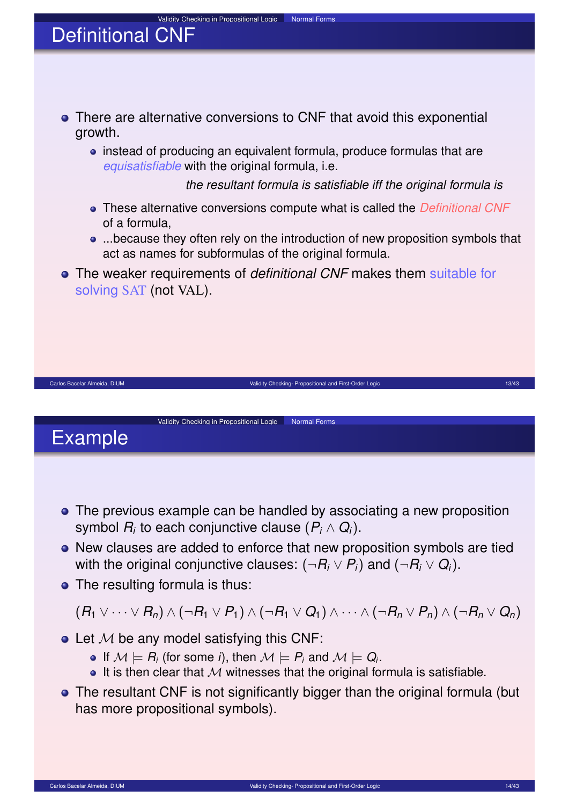

# Example

- The previous example can be handled by associating a new proposition symbol *R<sup>i</sup>* to each conjunctive clause (*P<sup>i</sup>* ∧ *Q<sup>i</sup>* ).
- New clauses are added to enforce that new proposition symbols are tied with the original conjunctive clauses:  $(\neg R_i \lor P_i)$  and  $(\neg R_i \lor Q_i).$
- The resulting formula is thus:

 $(R_1 \vee \cdots \vee R_n) \wedge (\neg R_1 \vee P_1) \wedge (\neg R_1 \vee Q_1) \wedge \cdots \wedge (\neg R_n \vee P_n) \wedge (\neg R_n \vee Q_n)$ 

- $\bullet$  Let M be any model satisfying this CNF:
	- If  $\mathcal{M} \models R_i$  (for some *i*), then  $\mathcal{M} \models P_i$  and  $\mathcal{M} \models Q_i$ .
	- $\bullet$  It is then clear that M witnesses that the original formula is satisfiable.
- The resultant CNF is not significantly bigger than the original formula (but has more propositional symbols).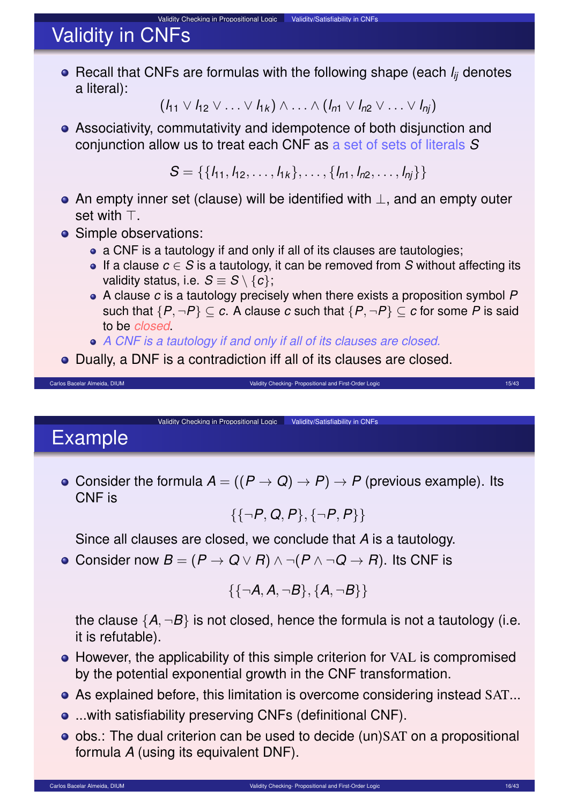# Validity in CNFs

Recall that CNFs are formulas with the following shape (each *lij* denotes a literal):

Validity Checking in Propositional Logic Validity/Satisfiability in CNFs

$$
(l_{11} \vee l_{12} \vee \ldots \vee l_{1k}) \wedge \ldots \wedge (l_{n1} \vee l_{n2} \vee \ldots \vee l_{nj})
$$

Associativity, commutativity and idempotence of both disjunction and conjunction allow us to treat each CNF as a set of sets of literals *S*

 $S = \{\{l_1, l_2, \ldots, l_{1k}\}, \ldots, \{l_{n1}, l_{n2}, \ldots, l_{nj}\}\}\$ 

- An empty inner set (clause) will be identified with ⊥, and an empty outer set with  $\top$
- Simple observations:
	- a CNF is a tautology if and only if all of its clauses are tautologies;
	- If a clause *c* ∈ *S* is a tautology, it can be removed from *S* without affecting its validity status, i.e.  $S \equiv S \setminus \{c\}$ ;
	- A clause *c* is a tautology precisely when there exists a proposition symbol *P* such that  $\{P, \neg P\} \subset c$ . A clause c such that  $\{P, \neg P\} \subset c$  for some P is said to be *closed*.
	- *A CNF is a tautology if and only if all of its clauses are closed.*

Validity Checking in Propositional Logic | Validity/Satisfiability in CNFs

Dually, a DNF is a contradiction iff all of its clauses are closed.

Example

• Consider the formula  $A = ((P \rightarrow Q) \rightarrow P) \rightarrow P$  (previous example). Its CNF is

Carlos Bacelar Almeida, DIUM **Validity Checking- Propositional and First-Order Logic 15/43** and First-Order Logic 15/43

$$
\{\{\neg P, Q, P\}, \{\neg P, P\}\}
$$

Since all clauses are closed, we conclude that *A* is a tautology.

**•** Consider now  $B = (P \rightarrow Q \lor R) \land \neg (P \land \neg Q \rightarrow R)$ . Its CNF is

<span id="page-7-0"></span>
$$
\{\{\neg A, A, \neg B\}, \{A, \neg B\}\}
$$

the clause  $\{A, \neg B\}$  is not closed, hence the formula is not a tautology (i.e. it is refutable).

- However, the applicability of this simple criterion for VAL is compromised by the potential exponential growth in the CNF transformation.
- As explained before, this limitation is overcome considering instead SAT...
- ...with satisfiability preserving CNFs (definitional CNF).
- obs.: The dual criterion can be used to decide (un)SAT on a propositional formula *A* (using its equivalent DNF).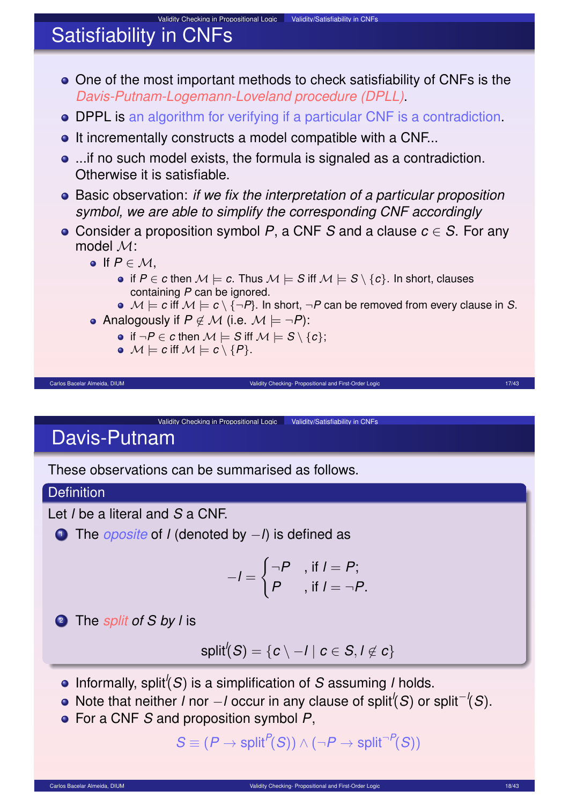# Satisfiability in CNFs

One of the most important methods to check satisfiability of CNFs is the *Davis-Putnam-Logemann-Loveland procedure (DPLL)*.

Validity Checking in Propositional Logic Validity/Satisfiability in CNFs

- DPPL is an algorithm for verifying if a particular CNF is a contradiction.
- **•** It incrementally constructs a model compatible with a CNF...
- ...if no such model exists, the formula is signaled as a contradiction. Otherwise it is satisfiable.
- Basic observation: *if we fix the interpretation of a particular proposition symbol, we are able to simplify the corresponding CNF accordingly*
- Consider a proposition symbol *P*, a CNF *S* and a clause *c* ∈ *S*. For any model M:

Carlos Bacelar Almeida, DIUM validity Checking- Propositional and First-Order Logic 17/43 Carlos Bacelar Almeida, DIUM 17/43

- $\bullet$  If  $P \in \mathcal{M}$ .
	- if *P* ∈ *c* then  $M \models c$ . Thus  $M \models S$  iff  $M \models S \setminus \{c\}$ . In short, clauses containing *P* can be ignored.
	- $\bullet \mathcal{M} \models c$  iff  $\mathcal{M} \models c \setminus {\neg P}$ . In short,  $\neg P$  can be removed from every clause in *S*.
- Analogously if  $P \notin \mathcal{M}$  (i.e.  $\mathcal{M} \models \neg P$ ):
	- if  $\neg P ∈ c$  then  $M ⊨ S$  iff  $M ⊨ S \setminus \{c\};$
	- $\bullet \mathcal{M} \models c$  iff  $\mathcal{M} \models c \setminus \{P\}.$

Validity Checking in Propositional Logic Validity/Satisfiability in CNFs Davis-Putnam

These observations can be summarised as follows.

#### **Definition**

Let *l* be a literal and *S* a CNF.

<sup>1</sup> The *oposite* of *l* (denoted by −*l*) is defined as

$$
-I = \begin{cases} \neg P & \text{, if } I = P; \\ P & \text{, if } I = \neg P. \end{cases}
$$

<sup>2</sup> The *split of S by l* is

$$
\mathsf{split}'(\mathcal{S}) = \{c \setminus -l \mid c \in \mathcal{S}, l \not\in c\}
$$

- Informally, split*<sup>l</sup>* (*S*) is a simplification of *S* assuming *l* holds.
- Note that neither *l* nor −*l* occur in any clause of split*<sup>l</sup>* (*S*) or split<sup>−</sup>*<sup>l</sup>* (*S*).
- For a CNF *S* and proposition symbol *P*,

$$
S \equiv (P \rightarrow \text{split}^{P}(S)) \land (\neg P \rightarrow \text{split}^{\neg P}(S))
$$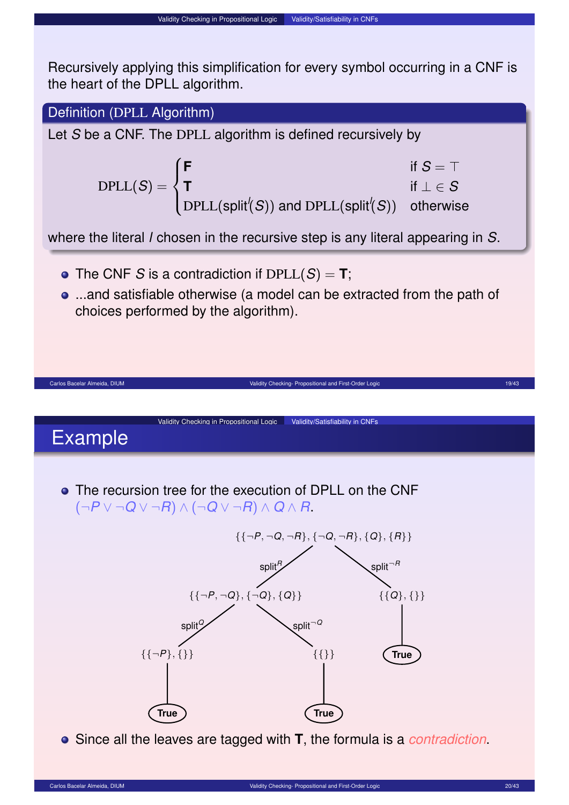Validity Checking in Propositional Logic | Validity/Satisfiability in CNFs

### Definition (DPLL Algorithm)

Let *S* be a CNF. The DPLL algorithm is defined recursively by

$$
\text{DPLL}(S) = \begin{cases} \text{F} & \text{if } S = \top \\ \text{T} & \text{if } \bot \in S \\ \text{DPLL}(\text{split}'(S)) \text{ and DPLL}(\text{split}'(S)) & \text{otherwise} \end{cases}
$$

where the literal *l* chosen in the recursive step is any literal appearing in *S*.

- The CNF *S* is a contradiction if  $DPLL(S) = T$ ;
- ...and satisfiable otherwise (a model can be extracted from the path of choices performed by the algorithm).

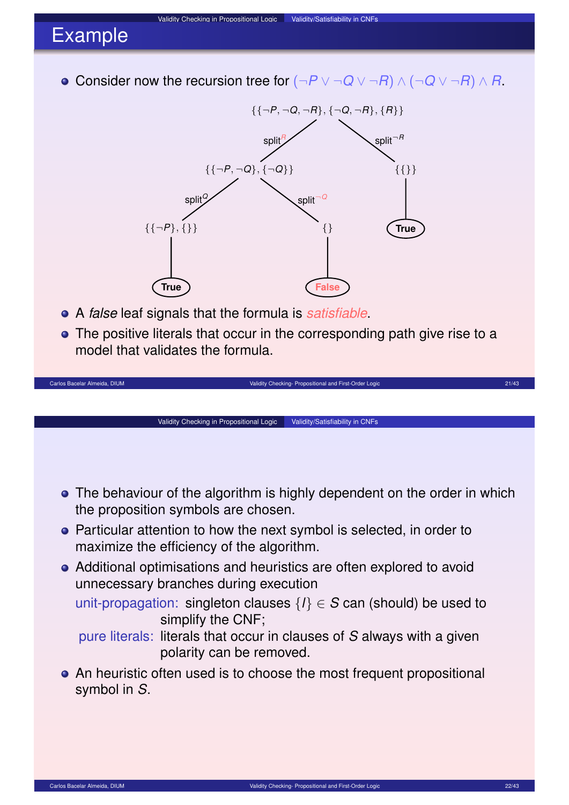# Example

Consider now the recursion tree for (¬*P* ∨ ¬*Q* ∨ ¬*R*) ∧ (¬*Q* ∨ ¬*R*) ∧ *R*.

Validity Checking in Propositional Logic Validity/Satisfiability in CNFs



- A *false* leaf signals that the formula is *satisfiable*.
- The positive literals that occur in the corresponding path give rise to a model that validates the formula.



unit-propagation: singleton clauses  $\{l\} \in S$  can (should) be used to simplify the CNF;

- pure literals: literals that occur in clauses of *S* always with a given polarity can be removed.
- An heuristic often used is to choose the most frequent propositional symbol in *S*.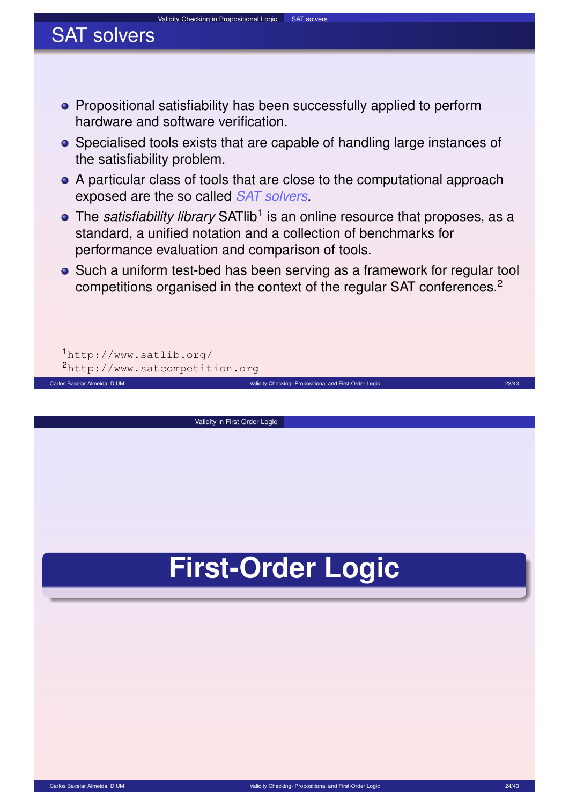#### Validity Checking in Propositional Logic SAT solvers

# SAT solvers

- **•** Propositional satisfiability has been successfully applied to perform hardware and software verification.
- Specialised tools exists that are capable of handling large instances of the satisfiability problem.
- A particular class of tools that are close to the computational approach exposed are the so called *SAT solvers*.
- The *satisfiability library* SATlib<sup>1</sup> is an online resource that proposes, as a standard, a unified notation and a collection of benchmarks for performance evaluation and comparison of tools.
- Such a uniform test-bed has been serving as a framework for regular tool competitions organised in the context of the regular SAT conferences.<sup>2</sup>

Carlos Bacelar Almeida, DIUM Validity Checking- Propositional and First-Order Logic 23/43 Carlos Bacelar Almeida, DIUM 23/43

1 http://www.satlib.org/ 2http://www.satcompetition.org

Validity in First-Order Logic

# <span id="page-11-0"></span>**First-Order Logic**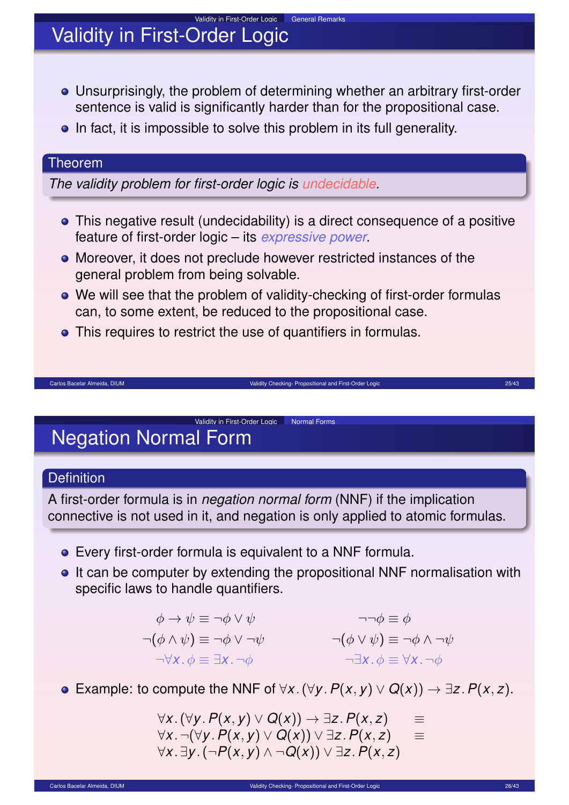# Validity in First-Order Logic

- Unsurprisingly, the problem of determining whether an arbitrary first-order sentence is valid is significantly harder than for the propositional case.
- In fact, it is impossible to solve this problem in its full generality.

#### Theorem

*The validity problem for first-order logic is undecidable.*

- This negative result (undecidability) is a direct consequence of a positive feature of first-order logic – its *expressive power*.
- Moreover, it does not preclude however restricted instances of the general problem from being solvable.
- We will see that the problem of validity-checking of first-order formulas can, to some extent, be reduced to the propositional case.

Carlos Bacelar Almeida, DIUM Validity Checking- Propositional and First-Order Logic 25/43

This requires to restrict the use of quantifiers in formulas.

### Validity in First-Order Logic Normal Forms Negation Normal Form

### **Definition**

A first-order formula is in *negation normal form* (NNF) if the implication connective is not used in it, and negation is only applied to atomic formulas.

- Every first-order formula is equivalent to a NNF formula.
- It can be computer by extending the propositional NNF normalisation with specific laws to handle quantifiers.

$$
\begin{aligned}\n\phi \to \psi &\equiv \neg \phi \lor \psi &\qquad \neg \neg \phi &\equiv \phi \\
\neg(\phi \land \psi) &\equiv \neg \phi \lor \neg \psi &\qquad \neg (\phi \lor \psi) &\equiv \neg \phi \land \neg \psi \\
\neg \forall x. \phi &\equiv \exists x. \neg \phi &\qquad \neg \exists x. \phi &\equiv \forall x. \neg \phi\n\end{aligned}
$$

**•** Example: to compute the NNF of  $\forall x \cdot (\forall y \cdot P(x, y) \lor Q(x)) \rightarrow \exists z \cdot P(x, z)$ .

<span id="page-12-0"></span> $\forall$ *x*.(∀*y*. $P(x, y) \lor Q(x))$  → ∃*z*. $P(x, z)$  ≡  $\forall$ *x*. ¬( $\forall$ *y*.  $P(x, y) \lor Q(x)$ ) ∨ ∃*z*.  $P(x, z)$  ≡ ∀*x* . ∃*y* .(¬*P*(*x*, *y*) ∧ ¬*Q*(*x*)) ∨ ∃*z* .*P*(*x*, *z*)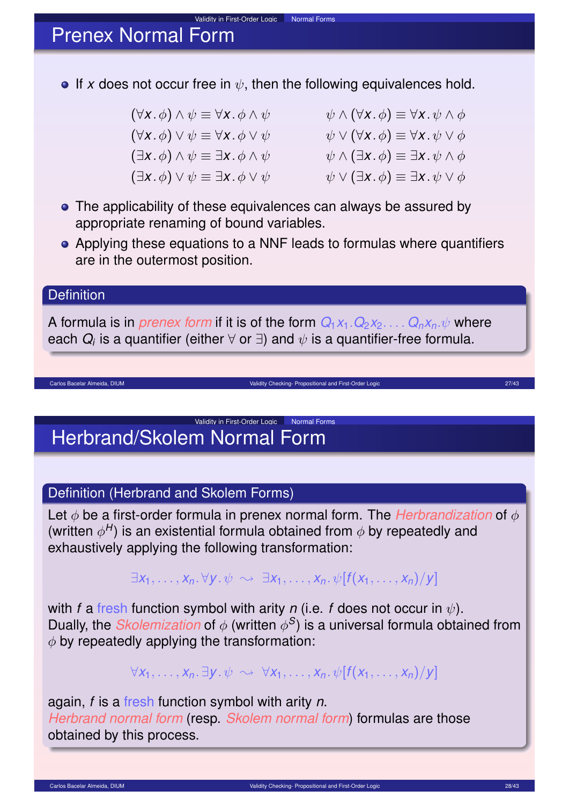## Prenex Normal Form

**If** x does not occur free in  $\psi$ , then the following equivalences hold.

Validity in First-Order Logic Normal Forms

 $(\forall x \cdot \phi) \land \psi \equiv \forall x \cdot \phi \land \psi$   $\psi \land (\forall x \cdot \phi) \equiv \forall x \cdot \psi \land \phi$  $(\forall x. \phi) \lor \psi \equiv \forall x. \phi \lor \psi$   $\psi \lor (\forall x. \phi) \equiv \forall x. \psi \lor \phi$  $(\exists x \cdot \phi) \land \psi \equiv \exists x \cdot \phi \land \psi$   $\psi \land (\exists x \cdot \phi) \equiv \exists x \cdot \psi \land \phi$  $(\exists x \ldotp \phi) \lor \psi \equiv \exists x \ldotp \phi \lor \psi$   $\psi \lor (\exists x \ldotp \phi) \equiv \exists x \ldotp \psi \lor \phi$ 

- The applicability of these equivalences can always be assured by appropriate renaming of bound variables.
- Applying these equations to a NNF leads to formulas where quantifiers are in the outermost position.

#### **Definition**

A formula is in *prenex form* if it is of the form  $Q_1x_1 \cdot Q_2x_2 \ldots \cdot Q_nx_n \cdot \psi$  where each  $\bm{Q}_i$  is a quantifier (either  $\forall$  or  $\exists$ ) and  $\psi$  is a quantifier-free formula.

Carlos Bacelar Almeida, DIUM **Validity Checking- Propositional and First-Order Logic 27/43** Carlos Bacelar Almeida, DIUM 27/43

### Validity in First-Order Logic Normal Forms Herbrand/Skolem Normal Form

### Definition (Herbrand and Skolem Forms)

Let φ be a first-order formula in prenex normal form. The *Herbrandization* of φ (written  $\phi^H$ ) is an existential formula obtained from  $\phi$  by repeatedly and exhaustively applying the following transformation:

 $\exists x_1, \ldots, x_n, \forall v, \psi \rightsquigarrow \exists x_1, \ldots, x_n, \psi[f(x_1, \ldots, x_n)/v]$ 

with *f* a fresh function symbol with arity *n* (i.e. *f* does not occur in  $\psi$ ). Dually, the *Skolemization* of  $\phi$  (written  $\phi$ <sup>S</sup>) is a universal formula obtained from  $\phi$  by repeatedly applying the transformation:

 $\forall x_1, \ldots, x_n$ .  $\exists y \cdot \psi \sim \forall x_1, \ldots, x_n$ .  $\psi[f(x_1, \ldots, x_n)/\psi]$ 

again, *f* is a fresh function symbol with arity *n*. *Herbrand normal form* (resp. *Skolem normal form*) formulas are those obtained by this process.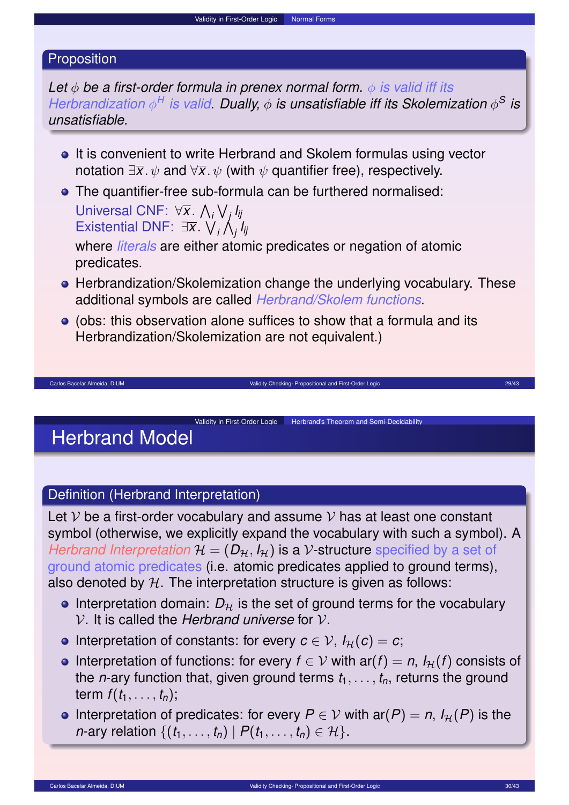#### Proposition

*Let* φ *be a first-order formula in prenex normal form.* φ *is valid iff its Herbrandization*  $\phi^H$  *is valid. Dually,*  $\phi$  *is unsatisfiable iff its Skolemization*  $\phi^S$  *is unsatisfiable.*

- **•** It is convenient to write Herbrand and Skolem formulas using vector notation  $\exists \overline{x}$ .  $\psi$  and  $\forall \overline{x}$ .  $\psi$  (with  $\psi$  quantifier free), respectively.
- The quantifier-free sub-formula can be furthered normalised: Universal CNF: ∀*x* . V *i* W *j lij* Existential DNF: ∃*x* . W *i* V *j lij*

where *literals* are either atomic predicates or negation of atomic predicates.

**•** Herbrandization/Skolemization change the underlying vocabulary. These additional symbols are called *Herbrand/Skolem functions*.

Carlos Bacelar Almeida, DIUM Validity Checking- Propositional and First-Order Logic 29/43 Carlos Bacelar Almeida, DIUM 29/43

Validity in First-Order Logic | Herbrand's Theorem and Semi-Decidability

(obs: this observation alone suffices to show that a formula and its Herbrandization/Skolemization are not equivalent.)

# Herbrand Model

#### Definition (Herbrand Interpretation)

Let  $V$  be a first-order vocabulary and assume  $V$  has at least one constant symbol (otherwise, we explicitly expand the vocabulary with such a symbol). A *Herbrand Interpretation*  $H = (D_H, I_H)$  is a V-structure specified by a set of ground atomic predicates (i.e. atomic predicates applied to ground terms), also denoted by  $H$ . The interpretation structure is given as follows:

- **Interpretation domain:**  $D<sub>H</sub>$  is the set of ground terms for the vocabulary V. It is called the *Herbrand universe* for V.
- **•** Interpretation of constants: for every  $c \in V$ ,  $I_H(c) = c$ ;
- **•** Interpretation of functions: for every  $f \in V$  with  $ar(f) = n$ ,  $I_H(f)$  consists of the *n*-ary function that, given ground terms  $t_1, \ldots, t_n$ , returns the ground term  $f(t_1, \ldots, t_n)$ ;
- <span id="page-14-0"></span>**•** Interpretation of predicates: for every  $P \in V$  with  $ar(P) = n$ ,  $I_H(P)$  is the *n*-ary relation  $\{(t_1, \ldots, t_n) | P(t_1, \ldots, t_n) \in \mathcal{H}\}.$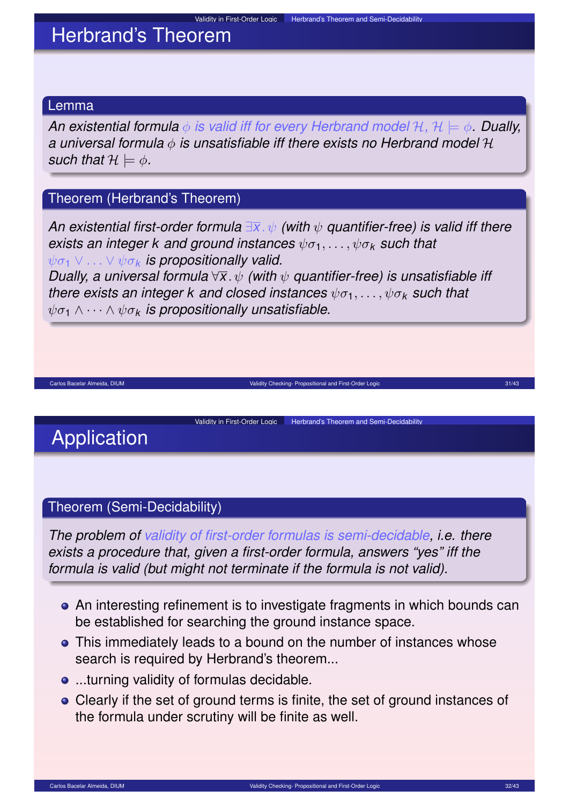# Herbrand's Theorem

#### Lemma

*An existential formula* φ *is valid iff for every Herbrand model* H*,* H |= φ*. Dually, a universal formula* φ *is unsatisfiable iff there exists no Herbrand model* H *such that*  $H \models \phi$ .

### Theorem (Herbrand's Theorem)

*An existential first-order formula* ∃*x* . ψ *(with* ψ *quantifier-free) is valid iff there exists an integer k and ground instances*  $\psi \sigma_1, \ldots, \psi \sigma_k$  *such that*  $ψσ<sub>1</sub> ∨ ... ∨ ψσ<sub>k</sub>$  *is propositionally valid.* 

*Dually, a universal formula* ∀*x* . ψ *(with* ψ *quantifier-free) is unsatisfiable iff there exists an integer k and closed instances*  $\psi \sigma_1, \ldots, \psi \sigma_k$  *such that*  $\psi \sigma_1 \wedge \cdots \wedge \psi \sigma_k$  *is propositionally unsatisfiable.* 

Carlos Bacelar Almeida, DIUM Validity Checking- Propositional and First-Order Logic Checking- Propositional and First-Order Logic 21/43

Validity in First-Order Logic | Herbrand's Theorem and Semi-Decidability

# Application

#### Theorem (Semi-Decidability)

*The problem of validity of first-order formulas is semi-decidable, i.e. there exists a procedure that, given a first-order formula, answers "yes" iff the formula is valid (but might not terminate if the formula is not valid).*

- An interesting refinement is to investigate fragments in which bounds can be established for searching the ground instance space.
- This immediately leads to a bound on the number of instances whose search is required by Herbrand's theorem...
- **...**turning validity of formulas decidable.
- Clearly if the set of ground terms is finite, the set of ground instances of the formula under scrutiny will be finite as well.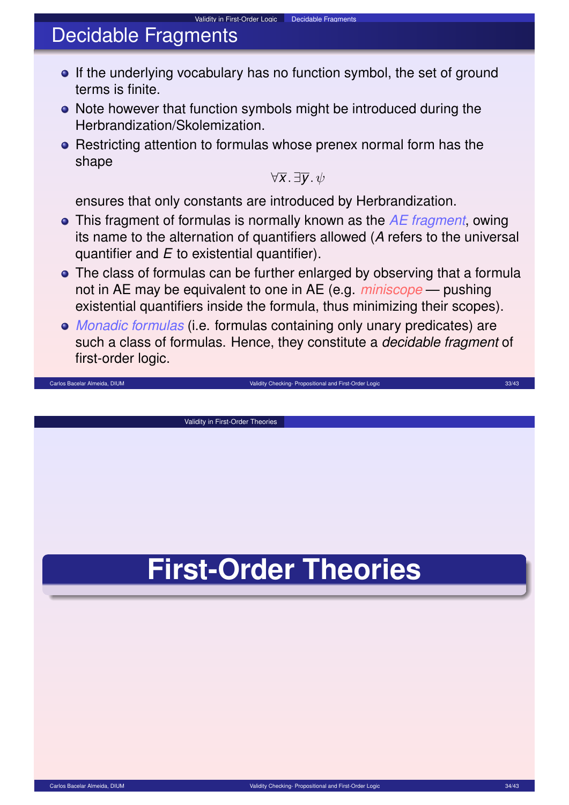# Decidable Fragments

- If the underlying vocabulary has no function symbol, the set of ground terms is finite.
- Note however that function symbols might be introduced during the Herbrandization/Skolemization.

Validity in First-Order Logic Decidable Fragments

• Restricting attention to formulas whose prenex normal form has the shape

 $\forall \overline{x}$  .  $\exists \overline{v}$  .  $\psi$ 

ensures that only constants are introduced by Herbrandization.

- This fragment of formulas is normally known as the *AE fragment*, owing its name to the alternation of quantifiers allowed (*A* refers to the universal quantifier and *E* to existential quantifier).
- The class of formulas can be further enlarged by observing that a formula not in AE may be equivalent to one in AE (e.g. *miniscope* — pushing existential quantifiers inside the formula, thus minimizing their scopes).
- *Monadic formulas* (i.e. formulas containing only unary predicates) are such a class of formulas. Hence, they constitute a *decidable fragment* of first-order logic.

Carlos Bacelar Almeida, DIUM Validity Checking- Propositional and First-Order Logic 33/43

Validity in First-Order Theories

<span id="page-16-0"></span>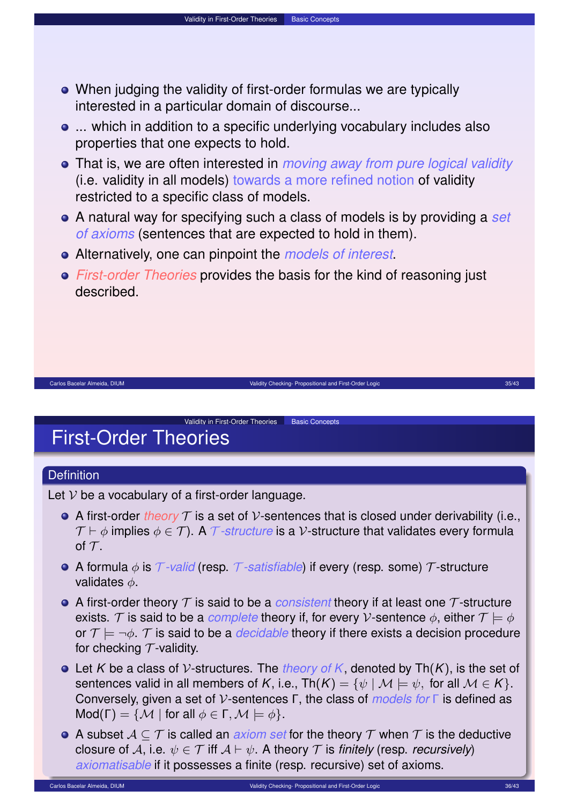When judging the validity of first-order formulas we are typically interested in a particular domain of discourse...

Validity in First-Order Theories Basic Concepts

- ... which in addition to a specific underlying vocabulary includes also properties that one expects to hold.
- That is, we are often interested in *moving away from pure logical validity* (i.e. validity in all models) towards a more refined notion of validity restricted to a specific class of models.
- A natural way for specifying such a class of models is by providing a *set of axioms* (sentences that are expected to hold in them).
- Alternatively, one can pinpoint the *models of interest*.
- *First-order Theories* provides the basis for the kind of reasoning just described.

Carlos Bacelar Almeida, DIUM **Validity Checking- Propositional and First-Order Logic 35/43** and First-Order Logic 35/43

### Validity in First-Order Theories Basic Concepts First-Order Theories

#### **Definition**

Let  $V$  be a vocabulary of a first-order language.

- A first-order *theory*  $\mathcal T$  is a set of  $\mathcal V$ -sentences that is closed under derivability (i.e.,  $\mathcal{T} \vdash \phi$  implies  $\phi \in \mathcal{T}$ ). A  $\mathcal{T}$ -structure is a V-structure that validates every formula of  $\tau$ .
- **•** A formula φ is T-valid (resp. T-satisfiable) if every (resp. some) T-structure validates  $\phi$ .
- A first-order theory  $\tau$  is said to be a *consistent* theory if at least one  $\tau$ -structure exists. T is said to be a *complete* theory if, for every V-sentence  $\phi$ , either  $\mathcal{T} \models \phi$ or  $\mathcal{T} \models \neg \phi$ . T is said to be a *decidable* theory if there exists a decision procedure for checking  $T$ -validity.
- Let *K* be a class of V-structures. The *theory of K*, denoted by Th(*K*), is the set of sentences valid in all members of *K*, i.e.,  $\text{Th}(K) = \{ \psi \mid \mathcal{M} \models \psi, \text{ for all } \mathcal{M} \in K \}.$ Conversely, given a set of V-sentences Γ, the class of *models for* Γ is defined as Mod(Γ) = { $M \mid$  for all  $\phi \in \Gamma$ ,  $M \models \phi$  }.
- <span id="page-17-0"></span>A subset  $A \subseteq T$  is called an *axiom set* for the theory T when T is the deductive closure of A, i.e.  $\psi \in \mathcal{T}$  iff  $\mathcal{A} \vdash \psi$ . A theory  $\mathcal{T}$  is *finitely* (resp. *recursively*) *axiomatisable* if it possesses a finite (resp. recursive) set of axioms.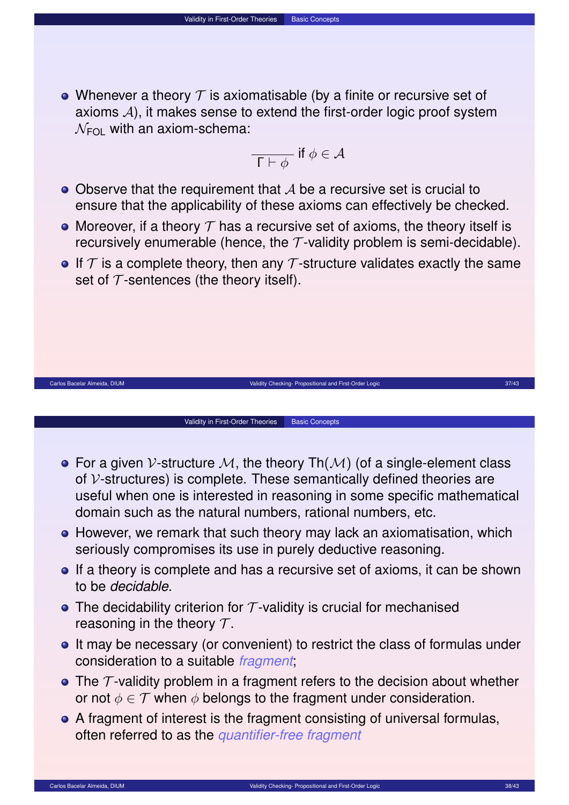• Whenever a theory  $\mathcal T$  is axiomatisable (by a finite or recursive set of axioms  $A$ ), it makes sense to extend the first-order logic proof system  $\mathcal{N}_{\text{FOL}}$  with an axiom-schema:

Validity in First-Order Theories Basic Concepts

$$
\overline{\Gamma \vdash \phi} \text{ if } \phi \in \mathcal{A}
$$

- $\bullet$  Observe that the requirement that  $\mathcal A$  be a recursive set is crucial to ensure that the applicability of these axioms can effectively be checked.
- Moreover, if a theory  $T$  has a recursive set of axioms, the theory itself is recursively enumerable (hence, the  $\tau$ -validity problem is semi-decidable).
- If  $\tau$  is a complete theory, then any  $\tau$ -structure validates exactly the same set of  $\tau$ -sentences (the theory itself).



Carlos Bacelar Almeida, DIUM **Validity Checking- Propositional and First-Order Logic 37/43** and First-Order Logic 37/43

Validity in First-Order Theories | Basic Concepts

- **•** However, we remark that such theory may lack an axiomatisation, which seriously compromises its use in purely deductive reasoning.
- **If a theory is complete and has a recursive set of axioms, it can be shown** to be *decidable*.
- The decidability criterion for  $\tau$ -validity is crucial for mechanised reasoning in the theory  $\mathcal{T}$ .
- It may be necessary (or convenient) to restrict the class of formulas under consideration to a suitable *fragment*;
- The  $\tau$ -validity problem in a fragment refers to the decision about whether or not  $\phi \in \mathcal{T}$  when  $\phi$  belongs to the fragment under consideration.
- A fragment of interest is the fragment consisting of universal formulas, often referred to as the *quantifier-free fragment*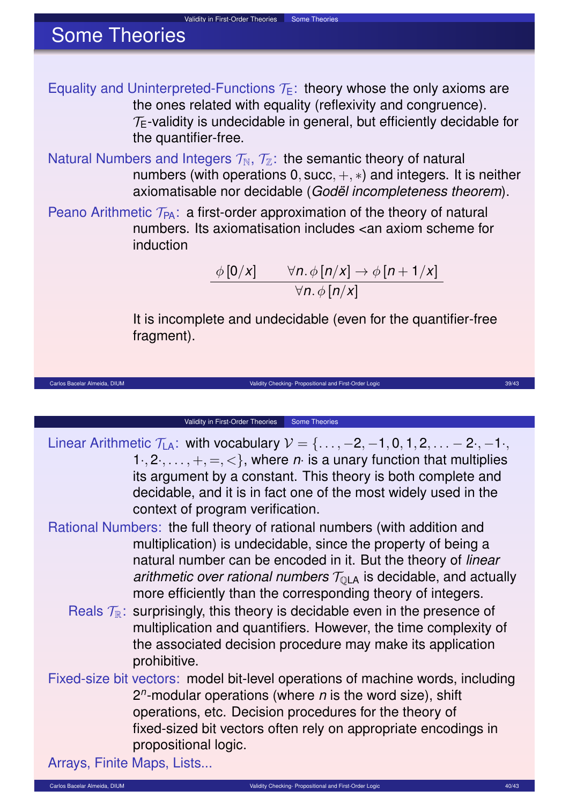Equality and Uninterpreted-Functions  $\mathcal{T}_E$ : theory whose the only axioms are the ones related with equality (reflexivity and congruence).  $T_F$ -validity is undecidable in general, but efficiently decidable for the quantifier-free.

Validity in First-Order Theories Some Theories

Natural Numbers and Integers  $\mathcal{T}_{\mathbb{N}}$ ,  $\mathcal{T}_{\mathbb{Z}}$ : the semantic theory of natural numbers (with operations  $0$ , succ,  $+, *$ ) and integers. It is neither axiomatisable nor decidable (*Godël incompleteness theorem*).

Peano Arithmetic  $T_{PA}$ : a first-order approximation of the theory of natural numbers. Its axiomatisation includes <an axiom scheme for induction

> $\phi$  [0/*x*]  $\qquad \forall n.\, \phi$  [*n*/*x*]  $\rightarrow \phi$  [*n* + 1/*x*] ∀*n*. φ [*n*/*x*]

It is incomplete and undecidable (even for the quantifier-free fragment).

#### Validity in First-Order Theories Some Theories

Linear Arithmetic  $\mathcal{T}_{LA}$ : with vocabulary  $\mathcal{V} = \{\ldots, -2, -1, 0, 1, 2, \ldots -2, -1\}$ 1., 2.,  $\dots$ ,  $+$ ,  $=$ ,  $<$ }, where *n*· is a unary function that multiplies its argument by a constant. This theory is both complete and decidable, and it is in fact one of the most widely used in the context of program verification.

Carlos Bacelar Almeida, DIUM and The Carlos Carlos Carlos Carlos Validity Checking- Propositional and First-Order Logic 39/43 and The Carlos 39/43

- Rational Numbers: the full theory of rational numbers (with addition and multiplication) is undecidable, since the property of being a natural number can be encoded in it. But the theory of *linear arithmetic over rational numbers*  $T_{\text{OLA}}$  is decidable, and actually more efficiently than the corresponding theory of integers.
	- Reals  $\mathcal{T}_{\mathbb{R}}$ : surprisingly, this theory is decidable even in the presence of multiplication and quantifiers. However, the time complexity of the associated decision procedure may make its application prohibitive.
- Fixed-size bit vectors: model bit-level operations of machine words, including 2 *n* -modular operations (where *n* is the word size), shift operations, etc. Decision procedures for the theory of fixed-sized bit vectors often rely on appropriate encodings in propositional logic.

Arrays, Finite Maps, Lists...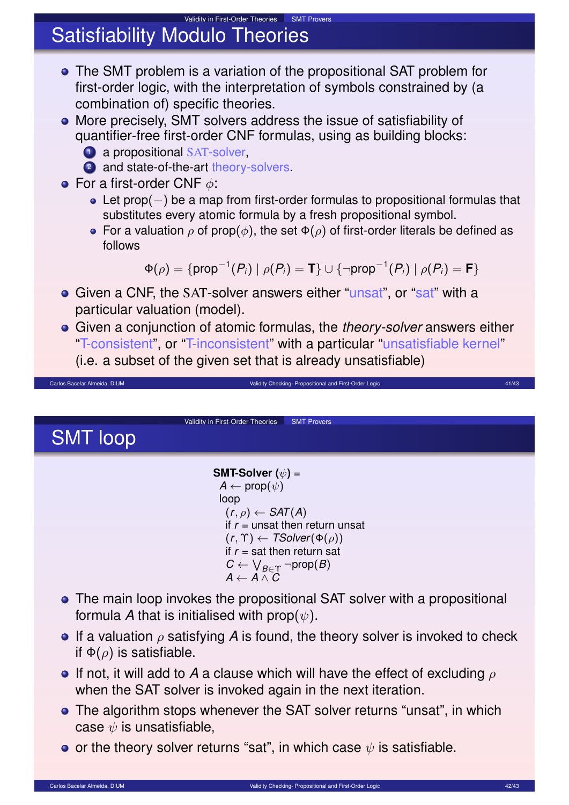### Validity in First-Order Theories SMT Provers Satisfiability Modulo Theories

- The SMT problem is a variation of the propositional SAT problem for first-order logic, with the interpretation of symbols constrained by (a combination of) specific theories.
- More precisely, SMT solvers address the issue of satisfiability of quantifier-free first-order CNF formulas, using as building blocks:
	- **1** a propositional SAT-solver,
	- 2 and state-of-the-art theory-solvers.
- **•** For a first-order CNF  $\phi$ :
	- Let prop(−) be a map from first-order formulas to propositional formulas that substitutes every atomic formula by a fresh propositional symbol.
	- For a valuation  $\rho$  of prop( $\phi$ ), the set  $\Phi(\rho)$  of first-order literals be defined as follows

 $\Phi(\rho)=\{\mathsf{prop}^{-1}(P_i)\mid \rho(P_i)=\textbf{T}\}\cup \{\neg \mathsf{prop}^{-1}(P_i)\mid \rho(P_i)=\textbf{F}\}$ 

- **•** Given a CNF, the SAT-solver answers either "unsat", or "sat" with a particular valuation (model).
- Given a conjunction of atomic formulas, the *theory-solver* answers either "T-consistent", or "T-inconsistent" with a particular "unsatisfiable kernel" (i.e. a subset of the given set that is already unsatisfiable)

Carlos Bacelar Almeida, DIUM Validity Checking- Propositional and First-Order Logic 41/43

Validity in First-Order Theories **SMT Provers** 

SMT loop

**SMT-Solver (**ψ**)** =  $A \leftarrow \text{prop}(\psi)$ loop  $(r, \rho) \leftarrow \mathsf{SAT}(A)$ if *r* = unsat then return unsat  $(r, \Upsilon) \leftarrow \textit{TSolver}(\Phi(\rho))$ if  $r =$  sat then return sat  $C \leftarrow \bigvee_{B \in \Upsilon} \neg \mathsf{prop}(B)$  $A \leftarrow A \wedge C$ 

- The main loop invokes the propositional SAT solver with a propositional formula *A* that is initialised with prop $(\psi)$ .
- **If a valuation**  $\rho$  **satisfying A is found, the theory solver is invoked to check** if  $\Phi(\rho)$  is satisfiable.
- **If not, it will add to A a clause which will have the effect of excluding**  $\rho$ when the SAT solver is invoked again in the next iteration.
- The algorithm stops whenever the SAT solver returns "unsat", in which case  $\psi$  is unsatisfiable,
- o or the theory solver returns "sat", in which case  $\psi$  is satisfiable.